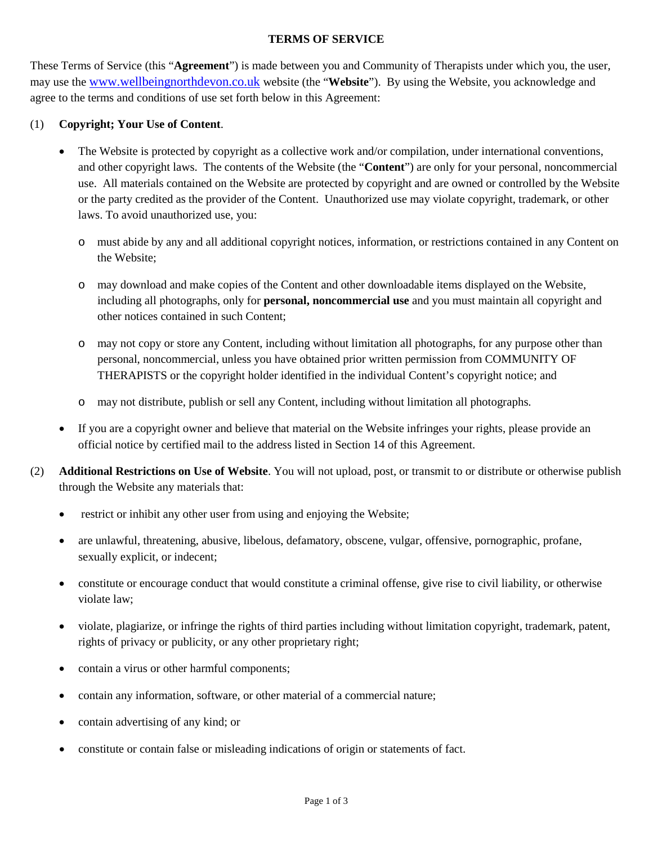## **TERMS OF SERVICE**

These Terms of Service (this "**Agreement**") is made between you and Community of Therapists under which you, the user, may use the [www.wellbeingnorthdevon.co.uk](http://www.wellbeingnorthdevon.co.uk/) website (the "**Website**"). By using the Website, you acknowledge and agree to the terms and conditions of use set forth below in this Agreement:

## (1) **Copyright; Your Use of Content**.

- The Website is protected by copyright as a collective work and/or compilation, under international conventions, and other copyright laws. The contents of the Website (the "**Content**") are only for your personal, noncommercial use. All materials contained on the Website are protected by copyright and are owned or controlled by the Website or the party credited as the provider of the Content. Unauthorized use may violate copyright, trademark, or other laws. To avoid unauthorized use, you:
	- o must abide by any and all additional copyright notices, information, or restrictions contained in any Content on the Website;
	- o may download and make copies of the Content and other downloadable items displayed on the Website, including all photographs, only for **personal, noncommercial use** and you must maintain all copyright and other notices contained in such Content;
	- o may not copy or store any Content, including without limitation all photographs, for any purpose other than personal, noncommercial, unless you have obtained prior written permission from COMMUNITY OF THERAPISTS or the copyright holder identified in the individual Content's copyright notice; and
	- o may not distribute, publish or sell any Content, including without limitation all photographs.
- If you are a copyright owner and believe that material on the Website infringes your rights, please provide an official notice by certified mail to the address listed in Section 14 of this Agreement.
- (2) **Additional Restrictions on Use of Website**. You will not upload, post, or transmit to or distribute or otherwise publish through the Website any materials that:
	- restrict or inhibit any other user from using and enjoying the Website;
	- are unlawful, threatening, abusive, libelous, defamatory, obscene, vulgar, offensive, pornographic, profane, sexually explicit, or indecent;
	- constitute or encourage conduct that would constitute a criminal offense, give rise to civil liability, or otherwise violate law;
	- violate, plagiarize, or infringe the rights of third parties including without limitation copyright, trademark, patent, rights of privacy or publicity, or any other proprietary right;
	- contain a virus or other harmful components;
	- contain any information, software, or other material of a commercial nature;
	- contain advertising of any kind; or
	- constitute or contain false or misleading indications of origin or statements of fact.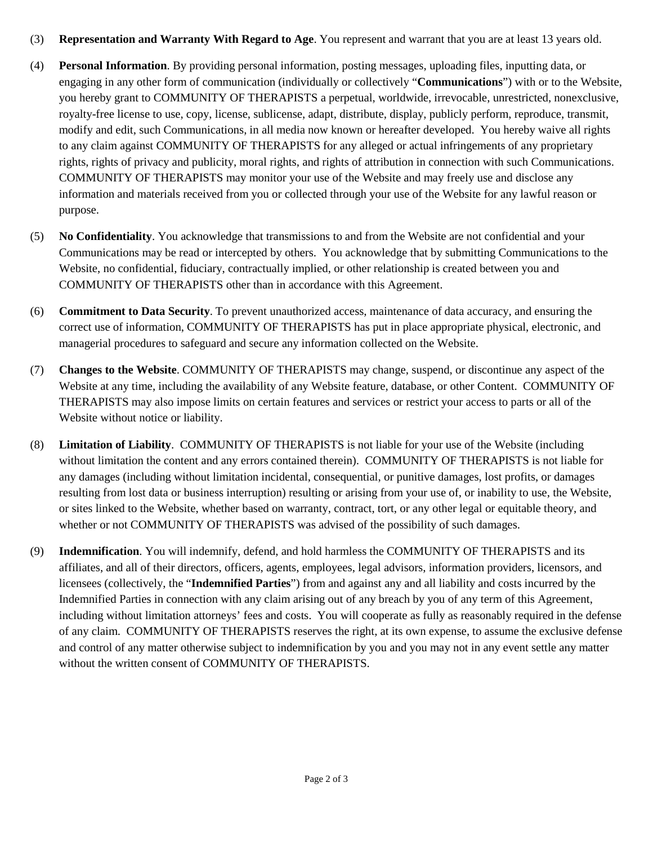- (3) **Representation and Warranty With Regard to Age**. You represent and warrant that you are at least 13 years old.
- (4) **Personal Information**. By providing personal information, posting messages, uploading files, inputting data, or engaging in any other form of communication (individually or collectively "**Communications**") with or to the Website, you hereby grant to COMMUNITY OF THERAPISTS a perpetual, worldwide, irrevocable, unrestricted, nonexclusive, royalty-free license to use, copy, license, sublicense, adapt, distribute, display, publicly perform, reproduce, transmit, modify and edit, such Communications, in all media now known or hereafter developed. You hereby waive all rights to any claim against COMMUNITY OF THERAPISTS for any alleged or actual infringements of any proprietary rights, rights of privacy and publicity, moral rights, and rights of attribution in connection with such Communications. COMMUNITY OF THERAPISTS may monitor your use of the Website and may freely use and disclose any information and materials received from you or collected through your use of the Website for any lawful reason or purpose.
- (5) **No Confidentiality**. You acknowledge that transmissions to and from the Website are not confidential and your Communications may be read or intercepted by others. You acknowledge that by submitting Communications to the Website, no confidential, fiduciary, contractually implied, or other relationship is created between you and COMMUNITY OF THERAPISTS other than in accordance with this Agreement.
- (6) **Commitment to Data Security**. To prevent unauthorized access, maintenance of data accuracy, and ensuring the correct use of information, COMMUNITY OF THERAPISTS has put in place appropriate physical, electronic, and managerial procedures to safeguard and secure any information collected on the Website.
- (7) **Changes to the Website**. COMMUNITY OF THERAPISTS may change, suspend, or discontinue any aspect of the Website at any time, including the availability of any Website feature, database, or other Content. COMMUNITY OF THERAPISTS may also impose limits on certain features and services or restrict your access to parts or all of the Website without notice or liability.
- (8) **Limitation of Liability**. COMMUNITY OF THERAPISTS is not liable for your use of the Website (including without limitation the content and any errors contained therein). COMMUNITY OF THERAPISTS is not liable for any damages (including without limitation incidental, consequential, or punitive damages, lost profits, or damages resulting from lost data or business interruption) resulting or arising from your use of, or inability to use, the Website, or sites linked to the Website, whether based on warranty, contract, tort, or any other legal or equitable theory, and whether or not COMMUNITY OF THERAPISTS was advised of the possibility of such damages.
- (9) **Indemnification**. You will indemnify, defend, and hold harmless the COMMUNITY OF THERAPISTS and its affiliates, and all of their directors, officers, agents, employees, legal advisors, information providers, licensors, and licensees (collectively, the "**Indemnified Parties**") from and against any and all liability and costs incurred by the Indemnified Parties in connection with any claim arising out of any breach by you of any term of this Agreement, including without limitation attorneys' fees and costs. You will cooperate as fully as reasonably required in the defense of any claim. COMMUNITY OF THERAPISTS reserves the right, at its own expense, to assume the exclusive defense and control of any matter otherwise subject to indemnification by you and you may not in any event settle any matter without the written consent of COMMUNITY OF THERAPISTS.